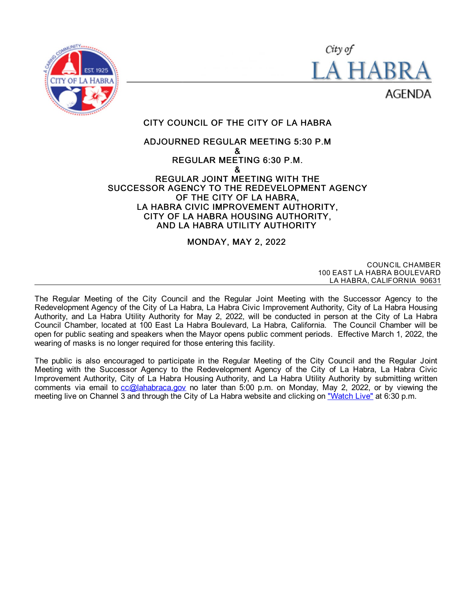



CITY COUNCIL OF THE CITY OF LA HABRA

# ADJOURNED REGULAR MEETING 5:30 P.M & REGULAR MEETING 6:30 P.M. & REGULAR JOINT MEETING WITH THE SUCCESSOR AGENCY TO THE REDEVELOPMENT AGENCY

OF THE CITY OF LA HABRA, LA HABRA CIVIC IMPROVEMENT AUTHORITY, CITY OF LA HABRA HOUSING AUTHORITY, AND LA HABRA UTILITY AUTHORITY

# MONDAY, MAY 2, 2022

COUNCIL CHAMBER 100 EAST LA HABRA BOULEVARD LA HABRA, CALIFORNIA 90631

The Regular Meeting of the City Council and the Regular Joint Meeting with the Successor Agency to the Redevelopment Agency of the City of La Habra, La Habra Civic Improvement Authority, City of La Habra Housing Authority, and La Habra Utility Authority for May 2, 2022, will be conducted in person at the City of La Habra Council Chamber, located at 100 East La Habra Boulevard, La Habra, California. The Council Chamber will be open for public seating and speakers when the Mayor opens public comment periods. Effective March 1, 2022, the wearing of masks is no longer required for those entering this facility.

The public is also encouraged to participate in the Regular Meeting of the City Council and the Regular Joint Meeting with the Successor Agency to the Redevelopment Agency of the City of La Habra, La Habra Civic Improvement Authority, City of La Habra Housing Authority, and La Habra Utility Authority by submitting written comments via email to  $cc@$  lahabraca.gov no later than 5:00 p.m. on Monday, May 2, 2022, or by viewing the meeting live on Channel 3 and through the City of La Habra website and clicking on ["Watch](http://www.lahabraca.gov/356/Archived-Council-Videos) Live" at 6:30 p.m.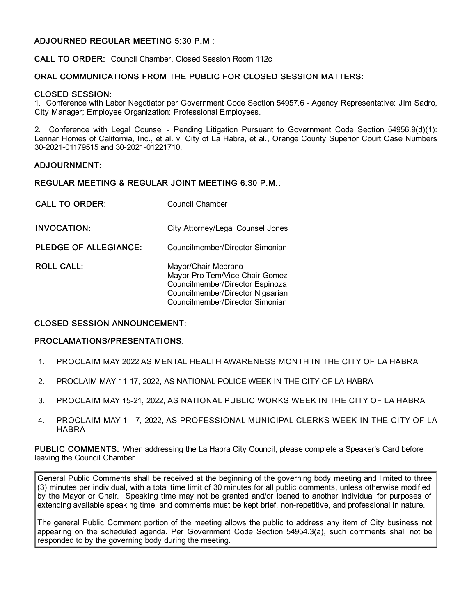# ADJOURNED REGULAR MEETING 5:30 P.M.:

CALL TO ORDER: Council Chamber, Closed Session Room 112c

## ORAL COMMUNICATIONS FROM THE PUBLIC FOR CLOSED SESSION MATTERS:

### CLOSED SESSION:

1. Conference with Labor Negotiator per Government Code Section 54957.6 - Agency Representative: Jim Sadro, City Manager; Employee Organization: Professional Employees.

2. Conference with Legal Counsel - Pending Litigation Pursuant to Government Code Section 54956.9(d)(1): Lennar Homes of California, Inc., et al. v. City of La Habra, et al., Orange County Superior Court Case Numbers 30-2021-01179515 and 30-2021-01221710.

### ADJOURNMENT:

#### REGULAR MEETING & REGULAR JOINT MEETING 6:30 P.M.:

| <b>CALL TO ORDER:</b> | Council Chamber                                                                                                                                                 |
|-----------------------|-----------------------------------------------------------------------------------------------------------------------------------------------------------------|
| <b>INVOCATION:</b>    | City Attorney/Legal Counsel Jones                                                                                                                               |
| PLEDGE OF ALLEGIANCE: | Councilmember/Director Simonian                                                                                                                                 |
| ROLL CALL:            | Mayor/Chair Medrano<br>Mayor Pro Tem/Vice Chair Gomez<br>Councilmember/Director Espinoza<br>Councilmember/Director Nigsarian<br>Councilmember/Director Simonian |

# CLOSED SESSION ANNOUNCEMENT:

#### PROCLAMATIONS/PRESENTATIONS:

- 1. PROCLAIM MAY 2022 AS MENTAL HEALTH AWARENESS MONTH IN THE CITY OF LA HABRA
- 2. PROCLAIM MAY 11-17, 2022, AS NATIONAL POLICE WEEK IN THE CITY OF LA HABRA
- 3. PROCLAIM MAY 15-21, 2022, AS NATIONAL PUBLIC WORKS WEEK IN THE CITY OF LA HABRA
- 4. PROCLAIM MAY 1 7, 2022, AS PROFESSIONAL MUNICIPAL CLERKS WEEK IN THE CITY OF LA HABRA

PUBLIC COMMENTS: When addressing the La Habra City Council, please complete a Speaker's Card before leaving the Council Chamber.

General Public Comments shall be received at the beginning of the governing body meeting and limited to three (3) minutes per individual, with a total time limit of 30 minutes for all public comments, unless otherwise modified by the Mayor or Chair. Speaking time may not be granted and/or loaned to another individual for purposes of extending available speaking time, and comments must be kept brief, non-repetitive, and professional in nature.

The general Public Comment portion of the meeting allows the public to address any item of City business not appearing on the scheduled agenda. Per Government Code Section 54954.3(a), such comments shall not be responded to by the governing body during the meeting.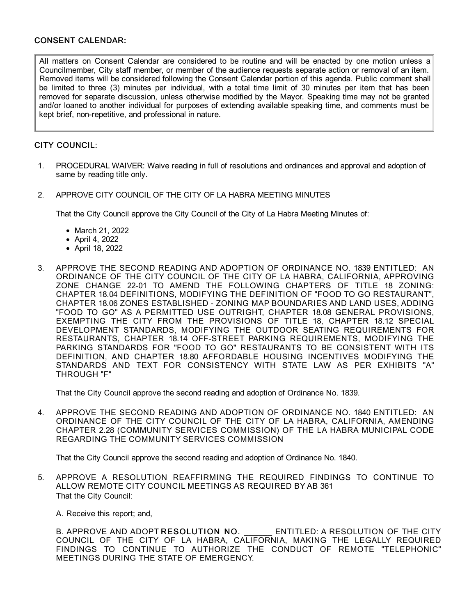# CONSENT CALENDAR:

All matters on Consent Calendar are considered to be routine and will be enacted by one motion unless a Councilmember, City staff member, or member of the audience requests separate action or removal of an item. Removed items will be considered following the Consent Calendar portion of this agenda. Public comment shall be limited to three (3) minutes per individual, with a total time limit of 30 minutes per item that has been removed for separate discussion, unless otherwise modified by the Mayor. Speaking time may not be granted and/or loaned to another individual for purposes of extending available speaking time, and comments must be kept brief, non-repetitive, and professional in nature.

# CITY COUNCIL:

- 1. PROCEDURAL WAIVER: Waive reading in full of resolutions and ordinances and approval and adoption of same by reading title only.
- 2. APPROVE CITY COUNCIL OF THE CITY OF LA HABRA MEETING MINUTES

That the City Council approve the City Council of the City of La Habra Meeting Minutes of:

- March 21, 2022
- April 4, 2022
- April 18, 2022
- 3. APPROVE THE SECOND READING AND ADOPTION OF ORDINANCE NO. 1839 ENTITLED: AN ORDINANCE OF THE CITY COUNCIL OF THE CITY OF LA HABRA, CALIFORNIA, APPROVING ZONE CHANGE 22-01 TO AMEND THE FOLLOWING CHAPTERS OF TITLE 18 ZONING: CHAPTER 18.04 DEFINITIONS, MODIFYING THE DEFINITION OF "FOOD TO GO RESTAURANT", CHAPTER 18.06 ZONES ESTABLISHED - ZONING MAP BOUNDARIES AND LAND USES, ADDING "FOOD TO GO" AS A PERMITTED USE OUTRIGHT, CHAPTER 18.08 GENERAL PROVISIONS, EXEMPTING THE CITY FROM THE PROVISIONS OF TITLE 18, CHAPTER 18.12 SPECIAL DEVELOPMENT STANDARDS, MODIFYING THE OUTDOOR SEATING REQUIREMENTS FOR RESTAURANTS, CHAPTER 18.14 OFF-STREET PARKING REQUIREMENTS, MODIFYING THE PARKING STANDARDS FOR "FOOD TO GO" RESTAURANTS TO BE CONSISTENT WITH ITS DEFINITION, AND CHAPTER 18.80 AFFORDABLE HOUSING INCENTIVES MODIFYING THE STANDARDS AND TEXT FOR CONSISTENCY WITH STATE LAW AS PER EXHIBITS "A" THROUGH "F"

That the City Council approve the second reading and adoption of Ordinance No. 1839.

4. APPROVE THE SECOND READING AND ADOPTION OF ORDINANCE NO. 1840 ENTITLED: AN ORDINANCE OF THE CITY COUNCIL OF THE CITY OF LA HABRA, CALIFORNIA, AMENDING CHAPTER 2.28 (COMMUNITY SERVICES COMMISSION) OF THE LA HABRA MUNICIPAL CODE REGARDING THE COMMUNITY SERVICES COMMISSION

That the City Council approve the second reading and adoption of Ordinance No. 1840.

5. APPROVE A RESOLUTION REAFFIRMING THE REQUIRED FINDINGS TO CONTINUE TO ALLOW REMOTE CITY COUNCIL MEETINGS AS REQUIRED BY AB 361 That the City Council:

A. Receive this report; and,

B. APPROVE AND ADOPT RESOLUTION NO. ENTITLED: A RESOLUTION OF THE CITY COUNCIL OF THE CITY OF LA HABRA, CALIFORNIA, MAKING THE LEGALLY REQUIRED FINDINGS TO CONTINUE TO AUTHORIZE THE CONDUCT OF REMOTE "TELEPHONIC" MEETINGS DURING THE STATE OF EMERGENCY.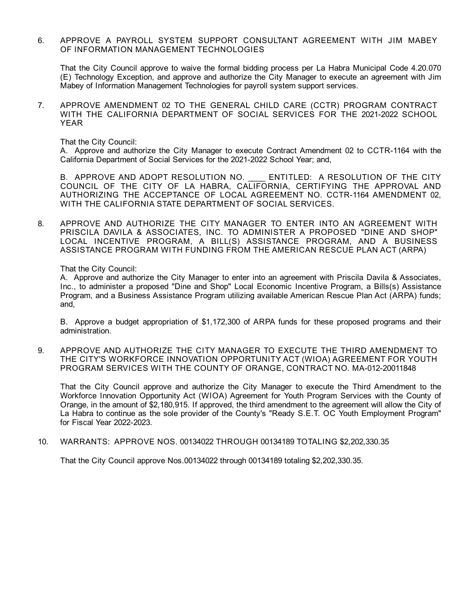6. APPROVE A PAYROLL SYSTEM SUPPORT CONSULTANT AGREEMENT WITH JIM MABEY OF INFORMATION MANAGEMENT TECHNOLOGIES

That the City Council approve to waive the formal bidding process per La Habra Municipal Code 4.20.070 (E) Technology Exception, and approve and authorize the City Manager to execute an agreement with Jim Mabey of Information Management Technologies for payroll system support services.

7. APPROVE AMENDMENT 02 TO THE GENERAL CHILD CARE (CCTR) PROGRAM CONTRACT WITH THE CALIFORNIA DEPARTMENT OF SOCIAL SERVICES FOR THE 2021-2022 SCHOOL YEAR

That the City Council:

A. Approve and authorize the City Manager to execute Contract Amendment 02 to CCTR-1164 with the California Department of Social Services for the 2021-2022 School Year; and,

B. APPROVE AND ADOPT RESOLUTION NO. \_\_\_\_ ENTITLED: A RESOLUTION OF THE CITY COUNCIL OF THE CITY OF LA HABRA, CALIFORNIA, CERTIFYING THE APPROVAL AND AUTHORIZING THE ACCEPTANCE OF LOCAL AGREEMENT NO. CCTR-1164 AMENDMENT 02,<br>WITH THE CALIFORNIA STATE DEPARTMENT OF SOCIAL SERVICES.

8. APPROVE AND AUTHORIZE THE CITY MANAGER TO ENTER INTO AN AGREEMENT WITH PRISCILA DAVILA & ASSOCIATES, INC. TO ADMINISTER A PROPOSED "DINE AND SHOP" LOCAL INCENTIVE PROGRAM, A BILL(S) ASSISTANCE PROGRAM, AND A BUSINESS ASSISTANCE PROGRAM WITH FUNDING FROM THE AMERICAN RESCUE PLAN ACT (ARPA)

That the City Council:

A. Approve and authorize the City Manager to enter into an agreement with Priscila Davila & Associates, Inc., to administer a proposed "Dine and Shop" Local Economic Incentive Program, a Bills(s) Assistance Program, and a Business Assistance Program utilizing available American Rescue Plan Act (ARPA) funds; and,

B. Approve a budget appropriation of \$1,172,300 of ARPA funds for these proposed programs and their administration.

9. APPROVE AND AUTHORIZE THE CITY MANAGER TO EXECUTE THE THIRD AMENDMENT TO THE CITY'S WORKFORCE INNOVATION OPPORTUNITY ACT (WIOA) AGREEMENT FOR YOUTH PROGRAM SERVICES WITH THE COUNTY OF ORANGE, CONTRACT NO. MA-012-20011848

That the City Council approve and authorize the City Manager to execute the Third Amendment to the Workforce Innovation Opportunity Act (WIOA) Agreement for Youth Program Services with the County of Orange, in the amount of \$2,180,915. If approved, the third amendment to the agreement will allow the City of La Habra to continue as the sole provider of the County's "Ready S.E.T. OC Youth Employment Program" for Fiscal Year 2022-2023.

10. WARRANTS: APPROVE NOS. 00134022 THROUGH 00134189 TOTALING \$2,202,330.35

That the City Council approve Nos.00134022 through 00134189 totaling \$2,202,330.35.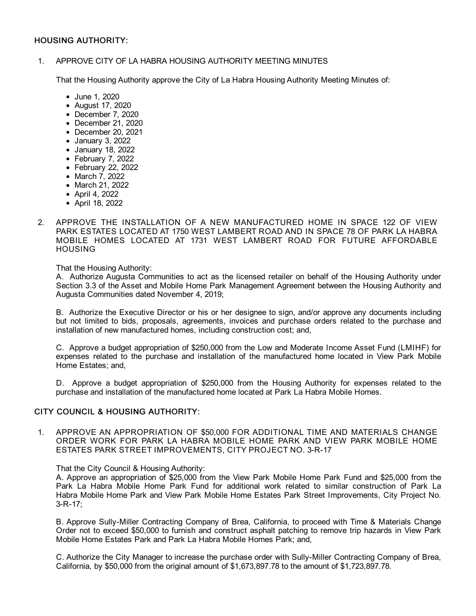# HOUSING AUTHORITY:

### 1. APPROVE CITY OF LA HABRA HOUSING AUTHORITY MEETING MINUTES

That the Housing Authority approve the City of La Habra Housing Authority Meeting Minutes of:

- June 1, 2020
- August 17, 2020
- December 7, 2020
- December 21, 2020
- December 20, 2021
- January 3, 2022
- January 18, 2022
- February 7, 2022
- February 22, 2022
- March 7, 2022
- March 21, 2022
- April 4, 2022
- April 18, 2022
- 2. APPROVE THE INSTALLATION OF A NEW MANUFACTURED HOME IN SPACE 122 OF VIEW PARK ESTATES LOCATED AT 1750 WEST LAMBERT ROAD AND IN SPACE 78 OF PARK LA HABRA MOBILE HOMES LOCATED AT 1731 WEST LAMBERT ROAD FOR FUTURE AFFORDABLE HOUSING

That the Housing Authority:

A. Authorize Augusta Communities to act as the licensed retailer on behalf of the Housing Authority under Section 3.3 of the Asset and Mobile Home Park Management Agreement between the Housing Authority and Augusta Communities dated November 4, 2019;

B. Authorize the Executive Director or his or her designee to sign, and/or approve any documents including but not limited to bids, proposals, agreements, invoices and purchase orders related to the purchase and installation of new manufactured homes, including construction cost; and,

C. Approve a budget appropriation of \$250,000 from the Low and Moderate Income Asset Fund (LMIHF) for expenses related to the purchase and installation of the manufactured home located in View Park Mobile Home Estates; and,

D. Approve a budget appropriation of \$250,000 from the Housing Authority for expenses related to the purchase and installation of the manufactured home located at Park La Habra Mobile Homes.

# CITY COUNCIL & HOUSING AUTHORITY:

1. APPROVE AN APPROPRIATION OF \$50,000 FOR ADDITIONAL TIME AND MATERIALS CHANGE ORDER WORK FOR PARK LA HABRA MOBILE HOME PARK AND VIEW PARK MOBILE HOME ESTATES PARK STREET IMPROVEMENTS, CITY PROJECT NO. 3-R-17

#### That the City Council & Housing Authority:

A. Approve an appropriation of \$25,000 from the View Park Mobile Home Park Fund and \$25,000 from the Park La Habra Mobile Home Park Fund for additional work related to similar construction of Park La Habra Mobile Home Park and View Park Mobile Home Estates Park Street Improvements, City Project No. 3-R-17;

B. Approve Sully-Miller Contracting Company of Brea, California, to proceed with Time & Materials Change Order not to exceed \$50,000 to furnish and construct asphalt patching to remove trip hazards in View Park Mobile Home Estates Park and Park La Habra Mobile Homes Park; and,

C. Authorize the City Manager to increase the purchase order with Sully-Miller Contracting Company of Brea, California, by \$50,000 from the original amount of \$1,673,897.78 to the amount of \$1,723,897.78.